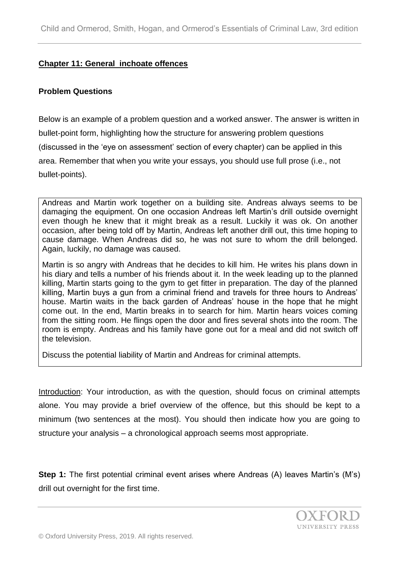## **Chapter 11: General inchoate offences**

### **Problem Questions**

Below is an example of a problem question and a worked answer. The answer is written in bullet-point form, highlighting how the structure for answering problem questions (discussed in the 'eye on assessment' section of every chapter) can be applied in this area. Remember that when you write your essays, you should use full prose (i.e., not bullet-points).

Andreas and Martin work together on a building site. Andreas always seems to be damaging the equipment. On one occasion Andreas left Martin's drill outside overnight even though he knew that it might break as a result. Luckily it was ok. On another occasion, after being told off by Martin, Andreas left another drill out, this time hoping to cause damage. When Andreas did so, he was not sure to whom the drill belonged. Again, luckily, no damage was caused.

Martin is so angry with Andreas that he decides to kill him. He writes his plans down in his diary and tells a number of his friends about it. In the week leading up to the planned killing, Martin starts going to the gym to get fitter in preparation. The day of the planned killing, Martin buys a gun from a criminal friend and travels for three hours to Andreas' house. Martin waits in the back garden of Andreas' house in the hope that he might come out. In the end, Martin breaks in to search for him. Martin hears voices coming from the sitting room. He flings open the door and fires several shots into the room. The room is empty. Andreas and his family have gone out for a meal and did not switch off the television.

Discuss the potential liability of Martin and Andreas for criminal attempts.

Introduction: Your introduction, as with the question, should focus on criminal attempts alone. You may provide a brief overview of the offence, but this should be kept to a minimum (two sentences at the most). You should then indicate how you are going to structure your analysis – a chronological approach seems most appropriate.

**Step 1:** The first potential criminal event arises where Andreas (A) leaves Martin's (M's) drill out overnight for the first time.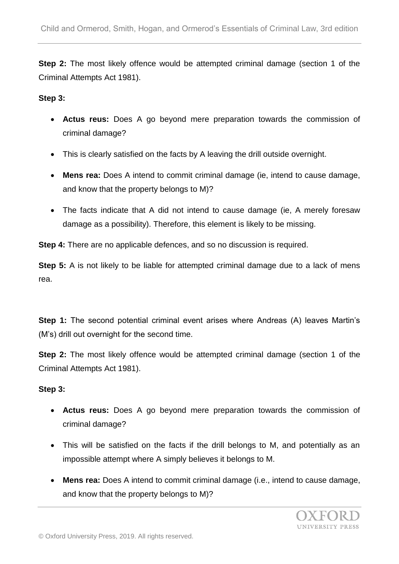**Step 2:** The most likely offence would be attempted criminal damage (section 1 of the Criminal Attempts Act 1981).

### **Step 3:**

- **Actus reus:** Does A go beyond mere preparation towards the commission of criminal damage?
- This is clearly satisfied on the facts by A leaving the drill outside overnight.
- **Mens rea:** Does A intend to commit criminal damage (ie, intend to cause damage, and know that the property belongs to M)?
- The facts indicate that A did not intend to cause damage (ie, A merely foresaw damage as a possibility). Therefore, this element is likely to be missing.

**Step 4:** There are no applicable defences, and so no discussion is required.

**Step 5:** A is not likely to be liable for attempted criminal damage due to a lack of mens rea.

**Step 1:** The second potential criminal event arises where Andreas (A) leaves Martin's (M's) drill out overnight for the second time.

**Step 2:** The most likely offence would be attempted criminal damage (section 1 of the Criminal Attempts Act 1981).

### **Step 3:**

- **Actus reus:** Does A go beyond mere preparation towards the commission of criminal damage?
- This will be satisfied on the facts if the drill belongs to M, and potentially as an impossible attempt where A simply believes it belongs to M.
- **Mens rea:** Does A intend to commit criminal damage (i.e., intend to cause damage, and know that the property belongs to M)?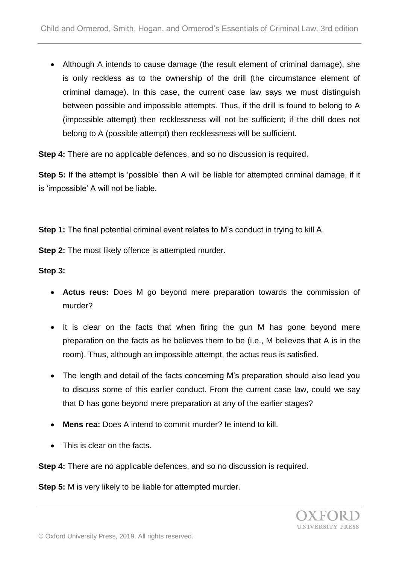Although A intends to cause damage (the result element of criminal damage), she is only reckless as to the ownership of the drill (the circumstance element of criminal damage). In this case, the current case law says we must distinguish between possible and impossible attempts. Thus, if the drill is found to belong to A (impossible attempt) then recklessness will not be sufficient; if the drill does not belong to A (possible attempt) then recklessness will be sufficient.

**Step 4:** There are no applicable defences, and so no discussion is required.

**Step 5:** If the attempt is 'possible' then A will be liable for attempted criminal damage, if it is 'impossible' A will not be liable.

**Step 1:** The final potential criminal event relates to M's conduct in trying to kill A.

**Step 2:** The most likely offence is attempted murder.

**Step 3:**

- **Actus reus:** Does M go beyond mere preparation towards the commission of murder?
- It is clear on the facts that when firing the gun M has gone beyond mere preparation on the facts as he believes them to be (i.e., M believes that A is in the room). Thus, although an impossible attempt, the actus reus is satisfied.
- The length and detail of the facts concerning M's preparation should also lead you to discuss some of this earlier conduct. From the current case law, could we say that D has gone beyond mere preparation at any of the earlier stages?
- **Mens rea:** Does A intend to commit murder? Ie intend to kill.
- This is clear on the facts.

**Step 4:** There are no applicable defences, and so no discussion is required.

**Step 5:** M is very likely to be liable for attempted murder.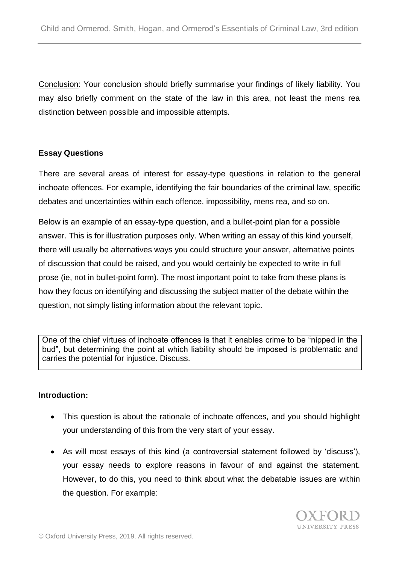Conclusion: Your conclusion should briefly summarise your findings of likely liability. You may also briefly comment on the state of the law in this area, not least the mens rea distinction between possible and impossible attempts.

# **Essay Questions**

There are several areas of interest for essay-type questions in relation to the general inchoate offences. For example, identifying the fair boundaries of the criminal law, specific debates and uncertainties within each offence, impossibility, mens rea, and so on.

Below is an example of an essay-type question, and a bullet-point plan for a possible answer. This is for illustration purposes only. When writing an essay of this kind yourself, there will usually be alternatives ways you could structure your answer, alternative points of discussion that could be raised, and you would certainly be expected to write in full prose (ie, not in bullet-point form). The most important point to take from these plans is how they focus on identifying and discussing the subject matter of the debate within the question, not simply listing information about the relevant topic.

One of the chief virtues of inchoate offences is that it enables crime to be "nipped in the bud", but determining the point at which liability should be imposed is problematic and carries the potential for injustice. Discuss.

# **Introduction:**

- This question is about the rationale of inchoate offences, and you should highlight your understanding of this from the very start of your essay.
- As will most essays of this kind (a controversial statement followed by 'discuss'), your essay needs to explore reasons in favour of and against the statement. However, to do this, you need to think about what the debatable issues are within the question. For example: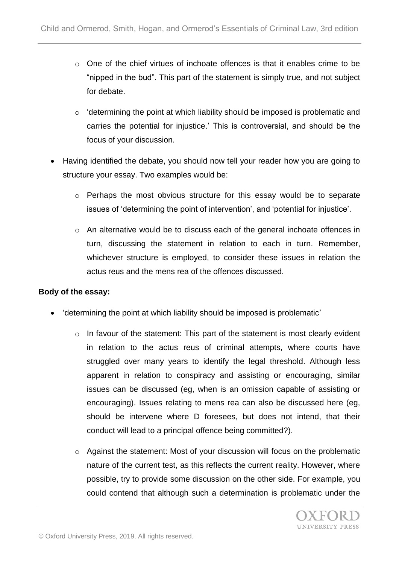- $\circ$  One of the chief virtues of inchoate offences is that it enables crime to be "nipped in the bud". This part of the statement is simply true, and not subject for debate.
- o 'determining the point at which liability should be imposed is problematic and carries the potential for injustice.' This is controversial, and should be the focus of your discussion.
- Having identified the debate, you should now tell your reader how you are going to structure your essay. Two examples would be:
	- $\circ$  Perhaps the most obvious structure for this essay would be to separate issues of 'determining the point of intervention', and 'potential for injustice'.
	- o An alternative would be to discuss each of the general inchoate offences in turn, discussing the statement in relation to each in turn. Remember, whichever structure is employed, to consider these issues in relation the actus reus and the mens rea of the offences discussed.

# **Body of the essay:**

- 'determining the point at which liability should be imposed is problematic'
	- o In favour of the statement: This part of the statement is most clearly evident in relation to the actus reus of criminal attempts, where courts have struggled over many years to identify the legal threshold. Although less apparent in relation to conspiracy and assisting or encouraging, similar issues can be discussed (eg, when is an omission capable of assisting or encouraging). Issues relating to mens rea can also be discussed here (eg, should be intervene where D foresees, but does not intend, that their conduct will lead to a principal offence being committed?).
	- o Against the statement: Most of your discussion will focus on the problematic nature of the current test, as this reflects the current reality. However, where possible, try to provide some discussion on the other side. For example, you could contend that although such a determination is problematic under the